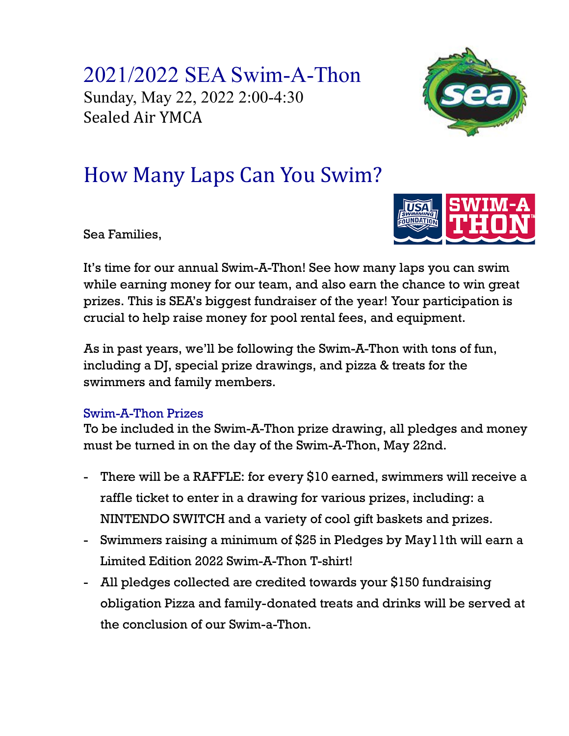2021/2022 SEA Swim-A-Thon Sunday, May 22, 2022 2:00-4:30 Sealed Air YMCA



## How Many Laps Can You Swim?

Sea Families,



It's time for our annual Swim-A-Thon! See how many laps you can swim while earning money for our team, and also earn the chance to win great prizes. This is SEA's biggest fundraiser of the year! Your participation is crucial to help raise money for pool rental fees, and equipment.

As in past years, we'll be following the Swim-A-Thon with tons of fun, including a DJ, special prize drawings, and pizza & treats for the swimmers and family members.

## Swim-A-Thon Prizes

To be included in the Swim-A-Thon prize drawing, all pledges and money must be turned in on the day of the Swim-A-Thon, May 22nd.

- There will be a RAFFLE: for every \$10 earned, swimmers will receive a raffle ticket to enter in a drawing for various prizes, including: a NINTENDO SWITCH and a variety of cool gift baskets and prizes.
- Swimmers raising a minimum of \$25 in Pledges by May11th will earn a Limited Edition 2022 Swim-A-Thon T-shirt!
- All pledges collected are credited towards your \$150 fundraising obligation Pizza and family-donated treats and drinks will be served at the conclusion of our Swim-a-Thon.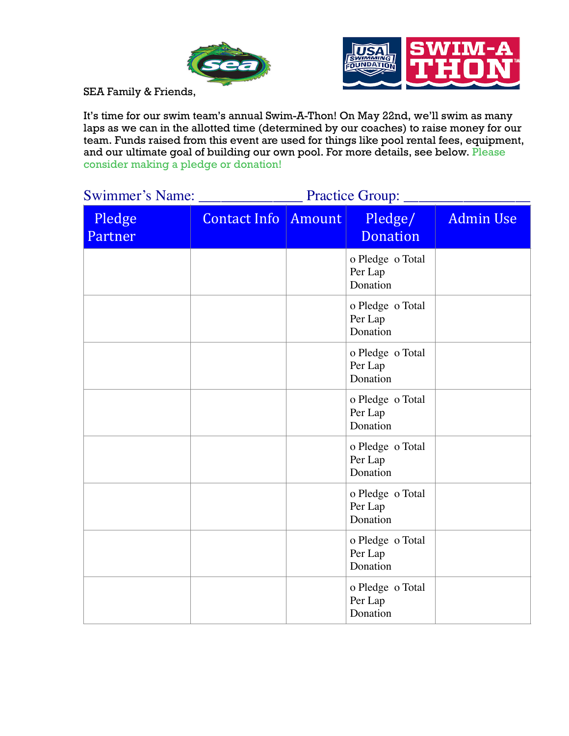



SEA Family & Friends,

It's time for our swim team's annual Swim-A-Thon! On May 22nd, we'll swim as many laps as we can in the allotted time (determined by our coaches) to raise money for our team. Funds raised from this event are used for things like pool rental fees, equipment, and our ultimate goal of building our own pool. For more details, see below. Please consider making a pledge or donation!

| <b>Swimmer's Name:</b> | <b>Practice Group:</b> |        |                                         |                  |  |
|------------------------|------------------------|--------|-----------------------------------------|------------------|--|
| Pledge<br>Partner      | <b>Contact Info</b>    | Amount | Pledge/<br><b>Donation</b>              | <b>Admin Use</b> |  |
|                        |                        |        | o Pledge o Total<br>Per Lap<br>Donation |                  |  |
|                        |                        |        | o Pledge o Total<br>Per Lap<br>Donation |                  |  |
|                        |                        |        | o Pledge o Total<br>Per Lap<br>Donation |                  |  |
|                        |                        |        | o Pledge o Total<br>Per Lap<br>Donation |                  |  |
|                        |                        |        | o Pledge o Total<br>Per Lap<br>Donation |                  |  |
|                        |                        |        | o Pledge o Total<br>Per Lap<br>Donation |                  |  |
|                        |                        |        | o Pledge o Total<br>Per Lap<br>Donation |                  |  |
|                        |                        |        | o Pledge o Total<br>Per Lap<br>Donation |                  |  |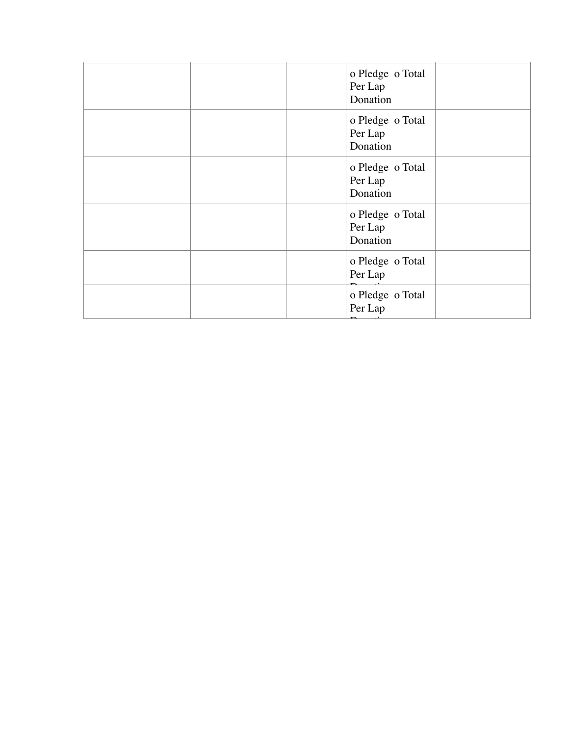| o Pledge o Total<br>Per Lap<br>Donation |
|-----------------------------------------|
| o Pledge o Total<br>Per Lap<br>Donation |
| o Pledge o Total<br>Per Lap<br>Donation |
| o Pledge o Total<br>Per Lap<br>Donation |
| o Pledge o Total<br>Per Lap             |
| o Pledge o Total<br>Per Lap             |